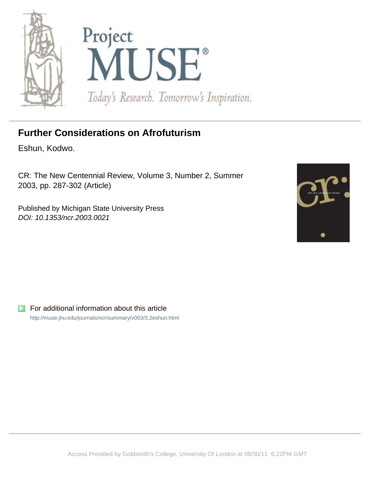



# **Further Considerations on Afrofuturism**

Eshun, Kodwo.

CR: The New Centennial Review, Volume 3, Number 2, Summer 2003, pp. 287-302 (Article)

Published by Michigan State University Press DOI: 10.1353/ncr.2003.0021



For additional information about this article <http://muse.jhu.edu/journals/ncr/summary/v003/3.2eshun.html>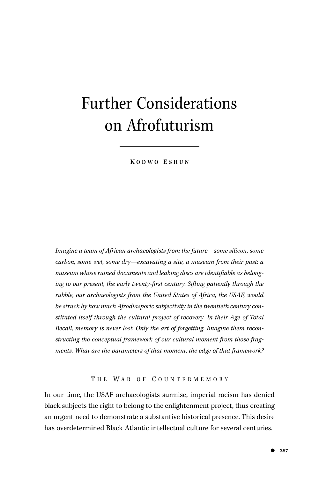# Further Considerations on Afrofuturism

**K ODWO E SHUN**

*Imagine a team of African archaeologists from the future—some silicon, some carbon, some wet, some dry—excavating a site, a museum from their past: a museum whose ruined documents and leaking discs are identifiable as belonging to our present, the early twenty-first century. Sifting patiently through the rubble, our archaeologists from the United States of Africa, the USAF, would be struck by how much Afrodiasporic subjectivity in the twentieth century constituted itself through the cultural project of recovery. In their Age of Total Recall, memory is never lost. Only the art of forgetting. Imagine them reconstructing the conceptual framework of our cultural moment from those fragments. What are the parameters of that moment, the edge of that framework?*

THE WAR OF COUNTERMEMORY

In our time, the USAF archaeologists surmise, imperial racism has denied black subjects the right to belong to the enlightenment project, thus creating an urgent need to demonstrate a substantive historical presence. This desire has overdetermined Black Atlantic intellectual culture for several centuries.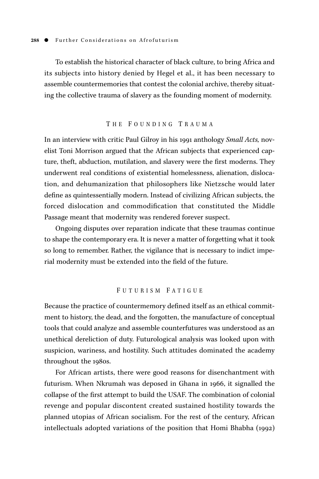#### **288 ●** Further Considerations on Afrofuturism

To establish the historical character of black culture, to bring Africa and its subjects into history denied by Hegel et al., it has been necessary to assemble countermemories that contest the colonial archive, thereby situating the collective trauma of slavery as the founding moment of modernity.

# THE FOUNDING TRAUMA

In an interview with critic Paul Gilroy in his 1991 anthology *Small Acts*, novelist Toni Morrison argued that the African subjects that experienced capture, theft, abduction, mutilation, and slavery were the first moderns. They underwent real conditions of existential homelessness, alienation, dislocation, and dehumanization that philosophers like Nietzsche would later define as quintessentially modern. Instead of civilizing African subjects, the forced dislocation and commodification that constituted the Middle Passage meant that modernity was rendered forever suspect.

Ongoing disputes over reparation indicate that these traumas continue to shape the contemporary era. It is never a matter of forgetting what it took so long to remember. Rather, the vigilance that is necessary to indict imperial modernity must be extended into the field of the future.

#### F UTURISM F ATIGUE

Because the practice of countermemory defined itself as an ethical commitment to history, the dead, and the forgotten, the manufacture of conceptual tools that could analyze and assemble counterfutures was understood as an unethical dereliction of duty. Futurological analysis was looked upon with suspicion, wariness, and hostility. Such attitudes dominated the academy throughout the 1980s.

For African artists, there were good reasons for disenchantment with futurism. When Nkrumah was deposed in Ghana in 1966, it signalled the collapse of the first attempt to build the USAF. The combination of colonial revenge and popular discontent created sustained hostility towards the planned utopias of African socialism. For the rest of the century, African intellectuals adopted variations of the position that Homi Bhabha (1992)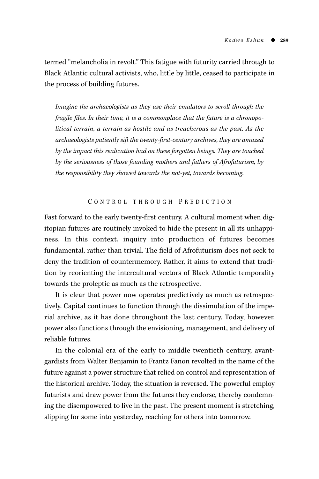termed "melancholia in revolt." This fatigue with futurity carried through to Black Atlantic cultural activists, who, little by little, ceased to participate in the process of building futures.

*Imagine the archaeologists as they use their emulators to scroll through the fragile files. In their time, it is a commonplace that the future is a chronopolitical terrain, a terrain as hostile and as treacherous as the past. As the archaeologists patiently sift the twenty-first-century archives, they are amazed by the impact this realization had on these forgotten beings. They are touched by the seriousness of those founding mothers and fathers of Afrofuturism, by the responsibility they showed towards the not-yet, towards becoming.*

#### CONTROL THROUGH PREDICTION

Fast forward to the early twenty-first century. A cultural moment when digitopian futures are routinely invoked to hide the present in all its unhappiness. In this context, inquiry into production of futures becomes fundamental, rather than trivial. The field of Afrofuturism does not seek to deny the tradition of countermemory. Rather, it aims to extend that tradition by reorienting the intercultural vectors of Black Atlantic temporality towards the proleptic as much as the retrospective.

It is clear that power now operates predictively as much as retrospectively. Capital continues to function through the dissimulation of the imperial archive, as it has done throughout the last century. Today, however, power also functions through the envisioning, management, and delivery of reliable futures.

In the colonial era of the early to middle twentieth century, avantgardists from Walter Benjamin to Frantz Fanon revolted in the name of the future against a power structure that relied on control and representation of the historical archive. Today, the situation is reversed. The powerful employ futurists and draw power from the futures they endorse, thereby condemning the disempowered to live in the past. The present moment is stretching, slipping for some into yesterday, reaching for others into tomorrow.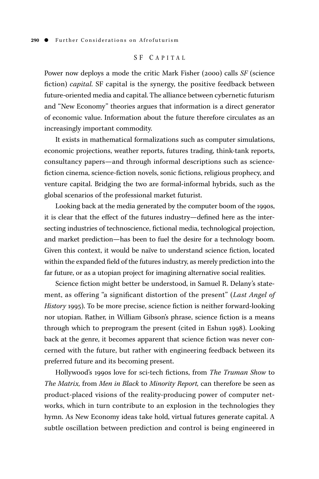# SF C APITAL

Power now deploys a mode the critic Mark Fisher (2000) calls *SF* (science fiction) *capital.* SF capital is the synergy, the positive feedback between future-oriented media and capital. The alliance between cybernetic futurism and "New Economy" theories argues that information is a direct generator of economic value. Information about the future therefore circulates as an increasingly important commodity.

It exists in mathematical formalizations such as computer simulations, economic projections, weather reports, futures trading, think-tank reports, consultancy papers—and through informal descriptions such as sciencefiction cinema, science-fiction novels, sonic fictions, religious prophecy, and venture capital. Bridging the two are formal-informal hybrids, such as the global scenarios of the professional market futurist.

Looking back at the media generated by the computer boom of the 1990s, it is clear that the effect of the futures industry—defined here as the intersecting industries of technoscience, fictional media, technological projection, and market prediction—has been to fuel the desire for a technology boom. Given this context, it would be naïve to understand science fiction, located within the expanded field of the futures industry, as merely prediction into the far future, or as a utopian project for imagining alternative social realities.

Science fiction might better be understood, in Samuel R. Delany's statement, as offering "a significant distortion of the present" (*Last Angel of History* 1995). To be more precise, science fiction is neither forward-looking nor utopian. Rather, in William Gibson's phrase, science fiction is a means through which to preprogram the present (cited in Eshun 1998). Looking back at the genre, it becomes apparent that science fiction was never concerned with the future, but rather with engineering feedback between its preferred future and its becoming present.

Hollywood's 1990s love for sci-tech fictions, from *The Truman Show* to *The Matrix,* from *Men in Black* to *Minority Report,* can therefore be seen as product-placed visions of the reality-producing power of computer networks, which in turn contribute to an explosion in the technologies they hymn. As New Economy ideas take hold, virtual futures generate capital. A subtle oscillation between prediction and control is being engineered in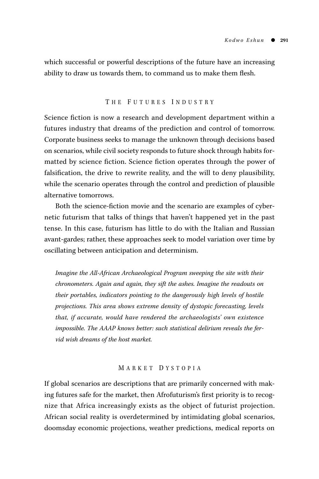which successful or powerful descriptions of the future have an increasing ability to draw us towards them, to command us to make them flesh.

#### THE FUTURES INDUSTRY

Science fiction is now a research and development department within a futures industry that dreams of the prediction and control of tomorrow. Corporate business seeks to manage the unknown through decisions based on scenarios, while civil society responds to future shock through habits formatted by science fiction. Science fiction operates through the power of falsification, the drive to rewrite reality, and the will to deny plausibility, while the scenario operates through the control and prediction of plausible alternative tomorrows.

Both the science-fiction movie and the scenario are examples of cybernetic futurism that talks of things that haven't happened yet in the past tense. In this case, futurism has little to do with the Italian and Russian avant-gardes; rather, these approaches seek to model variation over time by oscillating between anticipation and determinism.

*Imagine the All-African Archaeological Program sweeping the site with their chronometers. Again and again, they sift the ashes. Imagine the readouts on their portables, indicators pointing to the dangerously high levels of hostile projections. This area shows extreme density of dystopic forecasting, levels that, if accurate, would have rendered the archaeologists' own existence impossible. The AAAP knows better: such statistical delirium reveals the fervid wish dreams of the host market.*

#### M ARKET D YSTOPIA

If global scenarios are descriptions that are primarily concerned with making futures safe for the market, then Afrofuturism's first priority is to recognize that Africa increasingly exists as the object of futurist projection. African social reality is overdetermined by intimidating global scenarios, doomsday economic projections, weather predictions, medical reports on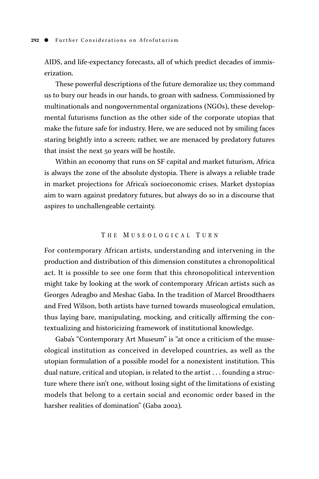#### **292 ●** Further Considerations on Afrofuturism

AIDS, and life-expectancy forecasts, all of which predict decades of immiserization.

These powerful descriptions of the future demoralize us; they command us to bury our heads in our hands, to groan with sadness. Commissioned by multinationals and nongovernmental organizations (NGOs), these developmental futurisms function as the other side of the corporate utopias that make the future safe for industry. Here, we are seduced not by smiling faces staring brightly into a screen; rather, we are menaced by predatory futures that insist the next 50 years will be hostile.

Within an economy that runs on SF capital and market futurism, Africa is always the zone of the absolute dystopia. There is always a reliable trade in market projections for Africa's socioeconomic crises. Market dystopias aim to warn against predatory futures, but always do so in a discourse that aspires to unchallengeable certainty.

#### T H E M USEOLOGICAL T URN

For contemporary African artists, understanding and intervening in the production and distribution of this dimension constitutes a chronopolitical act. It is possible to see one form that this chronopolitical intervention might take by looking at the work of contemporary African artists such as Georges Adeagbo and Meshac Gaba. In the tradition of Marcel Broodthaers and Fred Wilson, both artists have turned towards museological emulation, thus laying bare, manipulating, mocking, and critically affirming the contextualizing and historicizing framework of institutional knowledge.

Gaba's "Contemporary Art Museum" is "at once a criticism of the museological institution as conceived in developed countries, as well as the utopian formulation of a possible model for a nonexistent institution. This dual nature, critical and utopian, is related to the artist . . . founding a structure where there isn't one, without losing sight of the limitations of existing models that belong to a certain social and economic order based in the harsher realities of domination" (Gaba 2002).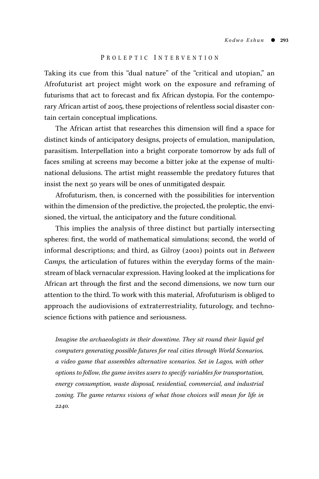#### PROLEPTIC INTERVENTION

Taking its cue from this "dual nature" of the "critical and utopian," an Afrofuturist art project might work on the exposure and reframing of futurisms that act to forecast and fix African dystopia. For the contemporary African artist of 2005, these projections of relentless social disaster contain certain conceptual implications.

The African artist that researches this dimension will find a space for distinct kinds of anticipatory designs, projects of emulation, manipulation, parasitism. Interpellation into a bright corporate tomorrow by ads full of faces smiling at screens may become a bitter joke at the expense of multinational delusions. The artist might reassemble the predatory futures that insist the next 50 years will be ones of unmitigated despair.

Afrofuturism, then, is concerned with the possibilities for intervention within the dimension of the predictive, the projected, the proleptic, the envisioned, the virtual, the anticipatory and the future conditional.

This implies the analysis of three distinct but partially intersecting spheres: first, the world of mathematical simulations; second, the world of informal descriptions; and third, as Gilroy (2001) points out in *Between Camps,* the articulation of futures within the everyday forms of the mainstream of black vernacular expression. Having looked at the implications for African art through the first and the second dimensions, we now turn our attention to the third. To work with this material, Afrofuturism is obliged to approach the audiovisions of extraterrestriality, futurology, and technoscience fictions with patience and seriousness.

*Imagine the archaeologists in their downtime. They sit round their liquid gel computers generating possible futures for real cities through World Scenarios, a video game that assembles alternative scenarios. Set in Lagos, with other options to follow, the game invites users to specify variables for transportation, energy consumption, waste disposal, residential, commercial, and industrial zoning. The game returns visions of what those choices will mean for life in* 2240.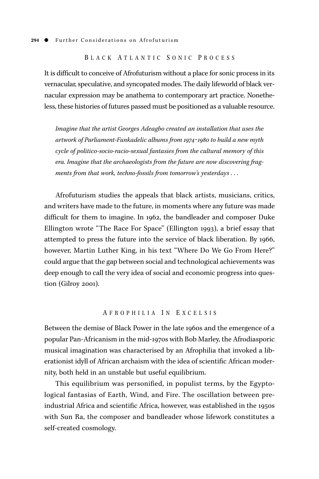#### B LACK A TLANTIC S ONIC P ROCESS

It is difficult to conceive of Afrofuturism without a place for sonic process in its vernacular, speculative, and syncopated modes. The daily lifeworld of black vernacular expression may be anathema to contemporary art practice. Nonetheless, these histories of futures passed must be positioned as a valuable resource.

*Imagine that the artist Georges Adeagbo created an installation that uses the* artwork of Parliament-Funkadelic albums from 1974-1980 to build a new myth *cycle of politico-socio-racio-sexual fantasies from the cultural memory of this era. Imagine that the archaeologists from the future are now discovering fragments from that work, techno-fossils from tomorrow's yesterdays . . .*

Afrofuturism studies the appeals that black artists, musicians, critics, and writers have made to the future, in moments where any future was made difficult for them to imagine. In 1962, the bandleader and composer Duke Ellington wrote "The Race For Space" (Ellington 1993), a brief essay that attempted to press the future into the service of black liberation. By 1966, however, Martin Luther King, in his text "Where Do We Go From Here?" could argue that the gap between social and technological achievements was deep enough to call the very idea of social and economic progress into ques- $\tau$ tion (Gilroy 2001).

# A F R O P H I L I A I N E X C E L S I S

Between the demise of Black Power in the late 1960s and the emergence of a popular Pan-Africanism in the mid-1970s with Bob Marley, the Afrodiasporic musical imagination was characterised by an Afrophilia that invoked a liberationist idyll of African archaism with the idea of scientific African modernity, both held in an unstable but useful equilibrium.

This equilibrium was personified, in populist terms, by the Egyptological fantasias of Earth, Wind, and Fire. The oscillation between preindustrial Africa and scientific Africa, however, was established in the 1950s with Sun Ra, the composer and bandleader whose lifework constitutes a self-created cosmology.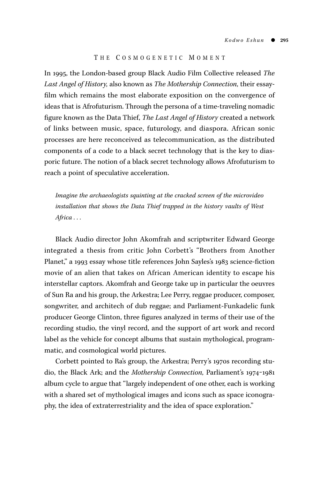#### T H E C OSMOGENETIC M OMENT

In 1995, the London-based group Black Audio Film Collective released *The Last Angel of History,* also known as *The Mothership Connection,* their essayfilm which remains the most elaborate exposition on the convergence of ideas that is Afrofuturism. Through the persona of a time-traveling nomadic figure known as the Data Thief, *The Last Angel of History* created a network of links between music, space, futurology, and diaspora. African sonic processes are here reconceived as telecommunication, as the distributed components of a code to a black secret technology that is the key to diasporic future. The notion of a black secret technology allows Afrofuturism to reach a point of speculative acceleration.

*Imagine the archaeologists squinting at the cracked screen of the microvideo installation that shows the Data Thief trapped in the history vaults of West Africa . . .*

Black Audio director John Akomfrah and scriptwriter Edward George integrated a thesis from critic John Corbett's "Brothers from Another Planet," a 1993 essay whose title references John Sayles's 1983 science-fiction movie of an alien that takes on African American identity to escape his interstellar captors. Akomfrah and George take up in particular the oeuvres of Sun Ra and his group, the Arkestra; Lee Perry, reggae producer, composer, songwriter, and architech of dub reggae; and Parliament-Funkadelic funk producer George Clinton, three figures analyzed in terms of their use of the recording studio, the vinyl record, and the support of art work and record label as the vehicle for concept albums that sustain mythological, programmatic, and cosmological world pictures.

Corbett pointed to Ra's group, the Arkestra; Perry's 1970s recording studio, the Black Ark; and the *Mothership Connection*, Parliament's 1974-1981 album cycle to argue that "largely independent of one other, each is working with a shared set of mythological images and icons such as space iconography, the idea of extraterrestriality and the idea of space exploration."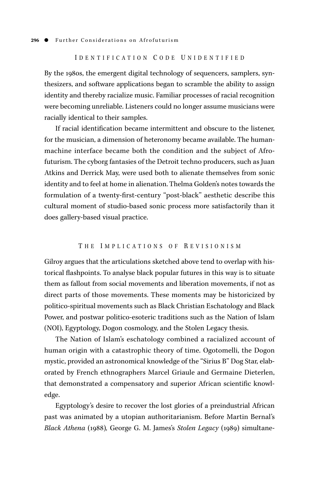#### I DENTIF ICATION C ODE U NIDENTIFIED

By the 1980s, the emergent digital technology of sequencers, samplers, synthesizers, and software applications began to scramble the ability to assign identity and thereby racialize music. Familiar processes of racial recognition were becoming unreliable. Listeners could no longer assume musicians were racially identical to their samples.

If racial identification became intermittent and obscure to the listener, for the musician, a dimension of heteronomy became available. The humanmachine interface became both the condition and the subject of Afrofuturism. The cyborg fantasies of the Detroit techno producers, such as Juan Atkins and Derrick May, were used both to alienate themselves from sonic identity and to feel at home in alienation. Thelma Golden's notes towards the formulation of a twenty-first-century "post-black" aesthetic describe this cultural moment of studio-based sonic process more satisfactorily than it does gallery-based visual practice.

# THE IMPLICATIONS OF REVISIONISM

Gilroy argues that the articulations sketched above tend to overlap with historical flashpoints. To analyse black popular futures in this way is to situate them as fallout from social movements and liberation movements, if not as direct parts of those movements. These moments may be historicized by politico-spiritual movements such as Black Christian Eschatology and Black Power, and postwar politico-esoteric traditions such as the Nation of Islam (NOI), Egyptology, Dogon cosmology, and the Stolen Legacy thesis.

The Nation of Islam's eschatology combined a racialized account of human origin with a catastrophic theory of time. Ogotomelli, the Dogon mystic, provided an astronomical knowledge of the "Sirius B" Dog Star, elaborated by French ethnographers Marcel Griaule and Germaine Dieterlen, that demonstrated a compensatory and superior African scientific knowledge.

Egyptology's desire to recover the lost glories of a preindustrial African past was animated by a utopian authoritarianism. Before Martin Bernal's *Black Athena* (1988), George G. M. James's *Stolen Legacy* (1989) simultane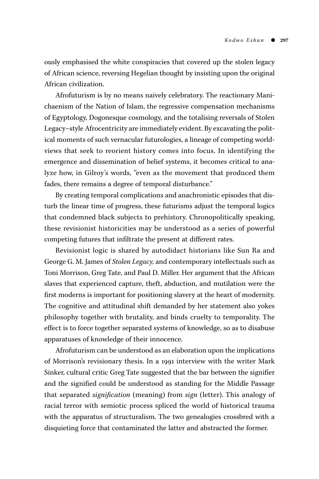ously emphasised the white conspiracies that covered up the stolen legacy of African science, reversing Hegelian thought by insisting upon the original African civilization.

Afrofuturism is by no means naively celebratory. The reactionary Manichaenism of the Nation of Islam, the regressive compensation mechanisms of Egyptology, Dogonesque cosmology, and the totalising reversals of Stolen Legacy–style Afrocentricity are immediately evident. By excavating the political moments of such vernacular futurologies, a lineage of competing worldviews that seek to reorient history comes into focus. In identifying the emergence and dissemination of belief systems, it becomes critical to analyze how, in Gilroy's words, "even as the movement that produced them fades, there remains a degree of temporal disturbance."

By creating temporal complications and anachronistic episodes that disturb the linear time of progress, these futurisms adjust the temporal logics that condemned black subjects to prehistory. Chronopolitically speaking, these revisionist historicities may be understood as a series of powerful competing futures that infiltrate the present at different rates.

Revisionist logic is shared by autodidact historians like Sun Ra and George G. M. James of *Stolen Legacy,* and contemporary intellectuals such as Toni Morrison, Greg Tate, and Paul D. Miller. Her argument that the African slaves that experienced capture, theft, abduction, and mutilation were the first moderns is important for positioning slavery at the heart of modernity. The cognitive and attitudinal shift demanded by her statement also yokes philosophy together with brutality, and binds cruelty to temporality. The effect is to force together separated systems of knowledge, so as to disabuse apparatuses of knowledge of their innocence.

Afrofuturism can be understood as an elaboration upon the implications of Morrison's revisionary thesis. In a 1991 interview with the writer Mark Sinker, cultural critic Greg Tate suggested that the bar between the signifier and the signified could be understood as standing for the Middle Passage that separated *signification* (meaning) from *sign* (letter). This analogy of racial terror with semiotic process spliced the world of historical trauma with the apparatus of structuralism. The two genealogies crossbred with a disquieting force that contaminated the latter and abstracted the former.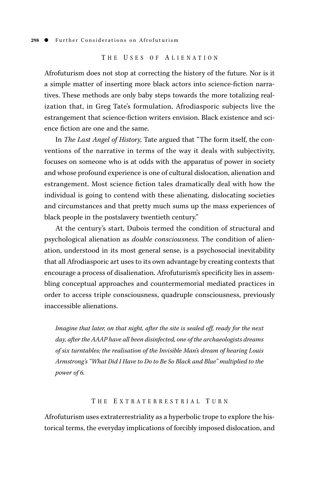# T H E U SES OF A LIENATION

Afrofuturism does not stop at correcting the history of the future. Nor is it a simple matter of inserting more black actors into science-fiction narratives. These methods are only baby steps towards the more totalizing realization that, in Greg Tate's formulation, Afrodiasporic subjects live the estrangement that science-fiction writers envision. Black existence and science fiction are one and the same.

In *The Last Angel of History,* Tate argued that "The form itself, the conventions of the narrative in terms of the way it deals with subjectivity, focuses on someone who is at odds with the apparatus of power in society and whose profound experience is one of cultural dislocation, alienation and estrangement. Most science fiction tales dramatically deal with how the individual is going to contend with these alienating, dislocating societies and circumstances and that pretty much sums up the mass experiences of black people in the postslavery twentieth century."

At the century's start, Dubois termed the condition of structural and psychological alienation as *double consciousness.* The condition of alienation, understood in its most general sense, is a psychosocial inevitability that all Afrodiasporic art uses to its own advantage by creating contexts that encourage a process of disalienation. Afrofuturism's specificity lies in assembling conceptual approaches and countermemorial mediated practices in order to access triple consciousness, quadruple consciousness, previously inaccessible alienations.

*Imagine that later, on that night, after the site is sealed off, ready for the next day, after the AAAP have all been disinfected, one of the archaeologists dreams of six turntables; the realisation of the Invisible Man's dream of hearing Louis Armstrong's "What Did I Have to Do to Be So Black and Blue" multiplied to the power of 6.*

# THE EXTRATERRESTRIAL TURN

Afrofuturism uses extraterrestriality as a hyperbolic trope to explore the historical terms, the everyday implications of forcibly imposed dislocation, and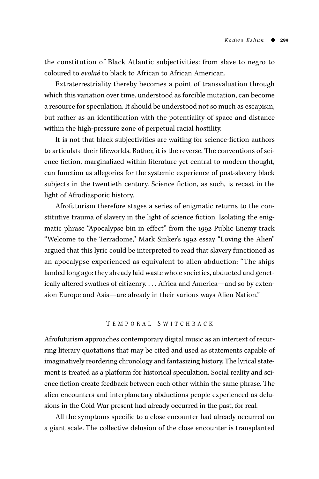the constitution of Black Atlantic subjectivities: from slave to negro to coloured to *evolué* to black to African to African American.

Extraterrestriality thereby becomes a point of transvaluation through which this variation over time, understood as forcible mutation, can become a resource for speculation. It should be understood not so much as escapism, but rather as an identification with the potentiality of space and distance within the high-pressure zone of perpetual racial hostility.

It is not that black subjectivities are waiting for science-fiction authors to articulate their lifeworlds. Rather, it is the reverse. The conventions of science fiction, marginalized within literature yet central to modern thought, can function as allegories for the systemic experience of post-slavery black subjects in the twentieth century. Science fiction, as such, is recast in the light of Afrodiasporic history.

Afrofuturism therefore stages a series of enigmatic returns to the constitutive trauma of slavery in the light of science fiction. Isolating the enigmatic phrase "Apocalypse bin in effect" from the 1992 Public Enemy track "Welcome to the Terradome," Mark Sinker's 1992 essay "Loving the Alien" argued that this lyric could be interpreted to read that slavery functioned as an apocalypse experienced as equivalent to alien abduction: "The ships landed long ago: they already laid waste whole societies, abducted and genetically altered swathes of citizenry. . . . Africa and America—and so by extension Europe and Asia—are already in their various ways Alien Nation."

#### T EMPORAL S WITCHBACK

Afrofuturism approaches contemporary digital music as an intertext of recurring literary quotations that may be cited and used as statements capable of imaginatively reordering chronology and fantasizing history. The lyrical statement is treated as a platform for historical speculation. Social reality and science fiction create feedback between each other within the same phrase. The alien encounters and interplanetary abductions people experienced as delusions in the Cold War present had already occurred in the past, for real.

All the symptoms specific to a close encounter had already occurred on a giant scale. The collective delusion of the close encounter is transplanted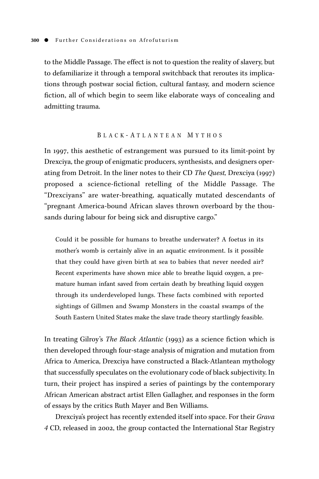to the Middle Passage. The effect is not to question the reality of slavery, but to defamiliarize it through a temporal switchback that reroutes its implications through postwar social fiction, cultural fantasy, and modern science fiction, all of which begin to seem like elaborate ways of concealing and admitting trauma.

#### B LACK - A TLANTEAN M YTHOS

In 1997, this aesthetic of estrangement was pursued to its limit-point by Drexciya, the group of enigmatic producers, synthesists, and designers operating from Detroit. In the liner notes to their CD *The Quest*, Drexciya (1997) proposed a science-fictional retelling of the Middle Passage. The "Drexciyans" are water-breathing, aquatically mutated descendants of "pregnant America-bound African slaves thrown overboard by the thousands during labour for being sick and disruptive cargo."

Could it be possible for humans to breathe underwater? A foetus in its mother's womb is certainly alive in an aquatic environment. Is it possible that they could have given birth at sea to babies that never needed air? Recent experiments have shown mice able to breathe liquid oxygen, a premature human infant saved from certain death by breathing liquid oxygen through its underdeveloped lungs. These facts combined with reported sightings of Gillmen and Swamp Monsters in the coastal swamps of the South Eastern United States make the slave trade theory startlingly feasible.

In treating Gilroy's *The Black Atlantic* (1993) as a science fiction which is then developed through four-stage analysis of migration and mutation from Africa to America, Drexciya have constructed a Black-Atlantean mythology that successfully speculates on the evolutionary code of black subjectivity. In turn, their project has inspired a series of paintings by the contemporary African American abstract artist Ellen Gallagher, and responses in the form of essays by the critics Ruth Mayer and Ben Williams.

Drexciya's project has recently extended itself into space. For their *Grava* 4 CD, released in 2002, the group contacted the International Star Registry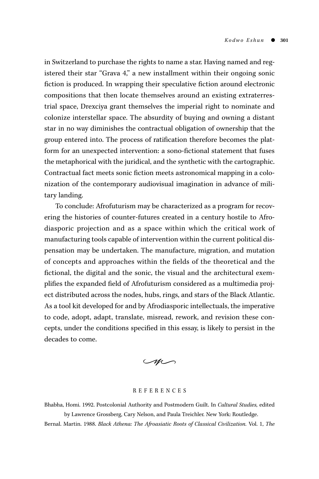in Switzerland to purchase the rights to name a star. Having named and registered their star "Grava 4," a new installment within their ongoing sonic fiction is produced. In wrapping their speculative fiction around electronic compositions that then locate themselves around an existing extraterrestrial space, Drexciya grant themselves the imperial right to nominate and colonize interstellar space. The absurdity of buying and owning a distant star in no way diminishes the contractual obligation of ownership that the group entered into. The process of ratification therefore becomes the platform for an unexpected intervention: a sono-fictional statement that fuses the metaphorical with the juridical, and the synthetic with the cartographic. Contractual fact meets sonic fiction meets astronomical mapping in a colonization of the contemporary audiovisual imagination in advance of military landing.

To conclude: Afrofuturism may be characterized as a program for recovering the histories of counter-futures created in a century hostile to Afrodiasporic projection and as a space within which the critical work of manufacturing tools capable of intervention within the current political dispensation may be undertaken. The manufacture, migration, and mutation of concepts and approaches within the fields of the theoretical and the fictional, the digital and the sonic, the visual and the architectural exemplifies the expanded field of Afrofuturism considered as a multimedia project distributed across the nodes, hubs, rings, and stars of the Black Atlantic. As a tool kit developed for and by Afrodiasporic intellectuals, the imperative to code, adopt, adapt, translate, misread, rework, and revision these concepts, under the conditions specified in this essay, is likely to persist in the decades to come.

 $cm -$ 

#### REFERENCES

Bhabha, Homi. 1992. Postcolonial Authority and Postmodern Guilt. In *Cultural Studies,* edited by Lawrence Grossberg, Cary Nelson, and Paula Treichler. New York: Routledge. Bernal. Martin. 1988. *Black Athena: The Afroasiatic Roots of Classical Civilization.* Vol. 1, *The*